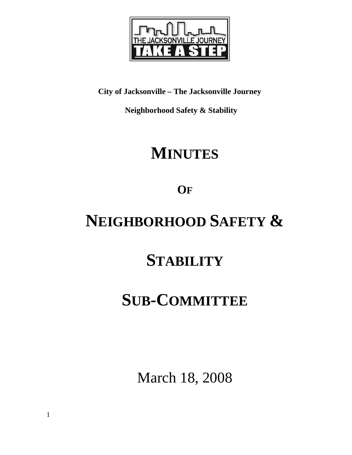

**City of Jacksonville – The Jacksonville Journey** 

 **Neighborhood Safety & Stability** 

# **MINUTES**

**OF**

# **NEIGHBORHOOD SAFETY &**

## **STABILITY**

## **SUB-COMMITTEE**

March 18, 2008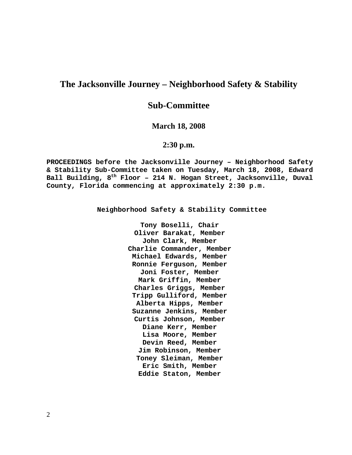## **The Jacksonville Journey – Neighborhood Safety & Stability**

## **Sub-Committee**

### **March 18, 2008**

## **2:30 p.m.**

**PROCEEDINGS before the Jacksonville Journey – Neighborhood Safety & Stability Sub-Committee taken on Tuesday, March 18, 2008, Edward Ball Building, 8th Floor – 214 N. Hogan Street, Jacksonville, Duval County, Florida commencing at approximately 2:30 p.m.** 

**Neighborhood Safety & Stability Committee** 

**Tony Boselli, Chair Oliver Barakat, Member John Clark, Member Charlie Commander, Member Michael Edwards, Member Ronnie Ferguson, Member Joni Foster, Member Mark Griffin, Member Charles Griggs, Member Tripp Gulliford, Member Alberta Hipps, Member Suzanne Jenkins, Member Curtis Johnson, Member Diane Kerr, Member Lisa Moore, Member Devin Reed, Member Jim Robinson, Member Toney Sleiman, Member Eric Smith, Member Eddie Staton, Member**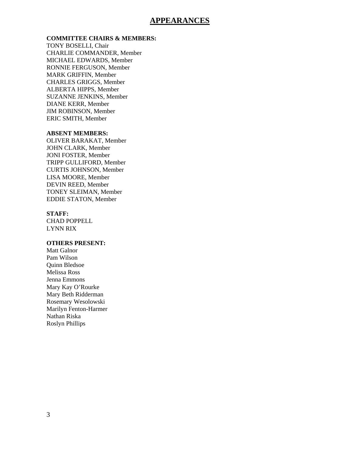## **APPEARANCES**

### **COMMITTEE CHAIRS & MEMBERS:**

TONY BOSELLI, Chair CHARLIE COMMANDER, Member MICHAEL EDWARDS, Member RONNIE FERGUSON, Member MARK GRIFFIN, Member CHARLES GRIGGS, Member ALBERTA HIPPS, Member SUZANNE JENKINS, Member DIANE KERR, Member JIM ROBINSON, Member ERIC SMITH, Member

#### **ABSENT MEMBERS:**

OLIVER BARAKAT, Member JOHN CLARK, Member JONI FOSTER, Member TRIPP GULLIFORD, Member CURTIS JOHNSON, Member LISA MOORE, Member DEVIN REED, Member TONEY SLEIMAN, Member EDDIE STATON, Member

#### **STAFF:**

CHAD POPPELL LYNN RIX

### **OTHERS PRESENT:**

Matt Galnor Pam Wilson Quinn Bledsoe Melissa Ross Jenna Emmons Mary Kay O'Rourke Mary Beth Ridderman Rosemary Wesolowski Marilyn Fenton-Harmer Nathan Riska Roslyn Phillips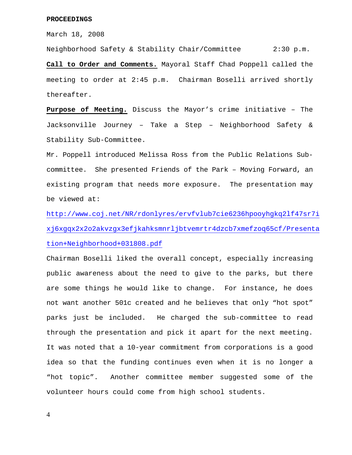March 18, 2008

Neighborhood Safety & Stability Chair/Committee 2:30 p.m. **Call to Order and Comments.** Mayoral Staff Chad Poppell called the meeting to order at 2:45 p.m. Chairman Boselli arrived shortly thereafter.

**Purpose of Meeting.** Discuss the Mayor's crime initiative – The Jacksonville Journey – Take a Step – Neighborhood Safety & Stability Sub-Committee.

Mr. Poppell introduced Melissa Ross from the Public Relations Subcommittee. She presented Friends of the Park – Moving Forward, an existing program that needs more exposure. The presentation may be viewed at:

http://www.coj.net/NR/rdonlyres/ervfvlub7cie6236hpooyhgkq2lf47sr7i xj6xgqx2x2o2akvzgx3efjkahksmnrljbtvemrtr4dzcb7xmefzoq65cf/Presenta tion+Neighborhood+031808.pdf

Chairman Boselli liked the overall concept, especially increasing public awareness about the need to give to the parks, but there are some things he would like to change. For instance, he does not want another 501c created and he believes that only "hot spot" parks just be included. He charged the sub-committee to read through the presentation and pick it apart for the next meeting. It was noted that a 10-year commitment from corporations is a good idea so that the funding continues even when it is no longer a "hot topic". Another committee member suggested some of the volunteer hours could come from high school students.

4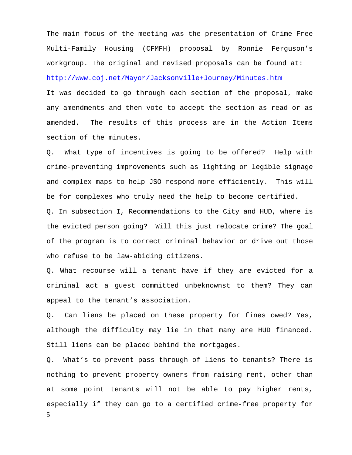The main focus of the meeting was the presentation of Crime-Free Multi-Family Housing (CFMFH) proposal by Ronnie Ferguson's workgroup. The original and revised proposals can be found at: http://www.coj.net/Mayor/Jacksonville+Journey/Minutes.htm

It was decided to go through each section of the proposal, make any amendments and then vote to accept the section as read or as amended. The results of this process are in the Action Items section of the minutes.

Q. What type of incentives is going to be offered? Help with crime-preventing improvements such as lighting or legible signage and complex maps to help JSO respond more efficiently. This will be for complexes who truly need the help to become certified.

Q. In subsection I, Recommendations to the City and HUD, where is the evicted person going? Will this just relocate crime? The goal of the program is to correct criminal behavior or drive out those who refuse to be law-abiding citizens.

Q. What recourse will a tenant have if they are evicted for a criminal act a guest committed unbeknownst to them? They can appeal to the tenant's association.

Q. Can liens be placed on these property for fines owed? Yes, although the difficulty may lie in that many are HUD financed. Still liens can be placed behind the mortgages.

5 Q. What's to prevent pass through of liens to tenants? There is nothing to prevent property owners from raising rent, other than at some point tenants will not be able to pay higher rents, especially if they can go to a certified crime-free property for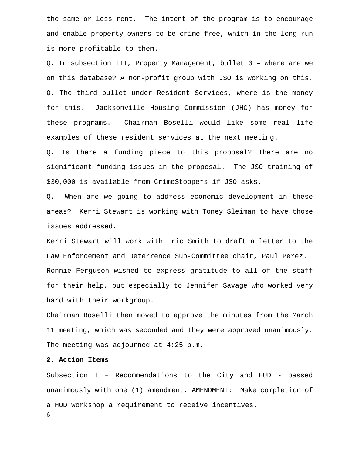the same or less rent. The intent of the program is to encourage and enable property owners to be crime-free, which in the long run is more profitable to them.

Q. In subsection III, Property Management, bullet 3 – where are we on this database? A non-profit group with JSO is working on this. Q. The third bullet under Resident Services, where is the money for this. Jacksonville Housing Commission (JHC) has money for these programs. Chairman Boselli would like some real life examples of these resident services at the next meeting.

Q. Is there a funding piece to this proposal? There are no significant funding issues in the proposal. The JSO training of \$30,000 is available from CrimeStoppers if JSO asks.

Q. When are we going to address economic development in these areas? Kerri Stewart is working with Toney Sleiman to have those issues addressed.

Kerri Stewart will work with Eric Smith to draft a letter to the Law Enforcement and Deterrence Sub-Committee chair, Paul Perez. Ronnie Ferguson wished to express gratitude to all of the staff for their help, but especially to Jennifer Savage who worked very hard with their workgroup.

Chairman Boselli then moved to approve the minutes from the March 11 meeting, which was seconded and they were approved unanimously. The meeting was adjourned at 4:25 p.m.

### **2. Action Items**

6 Subsection I – Recommendations to the City and HUD - passed unanimously with one (1) amendment. AMENDMENT: Make completion of a HUD workshop a requirement to receive incentives.